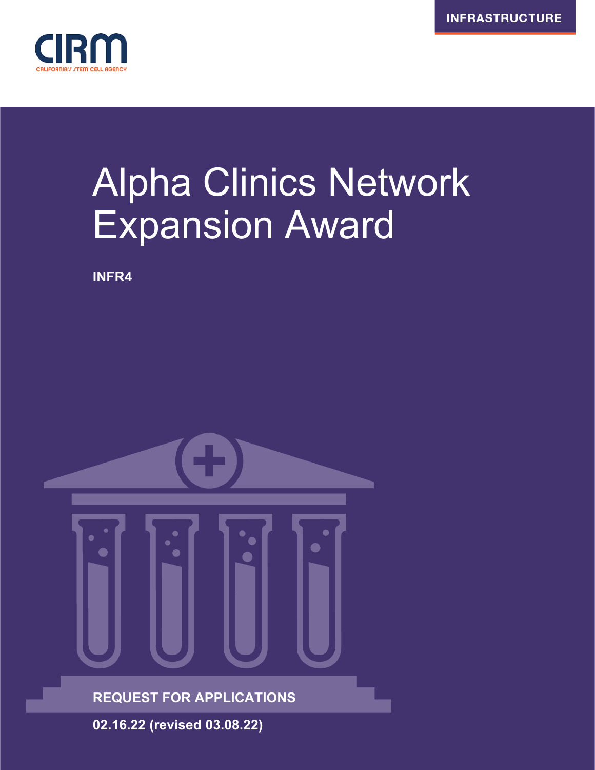

# Alpha Clinics Network Expansion Award

**INFR4**

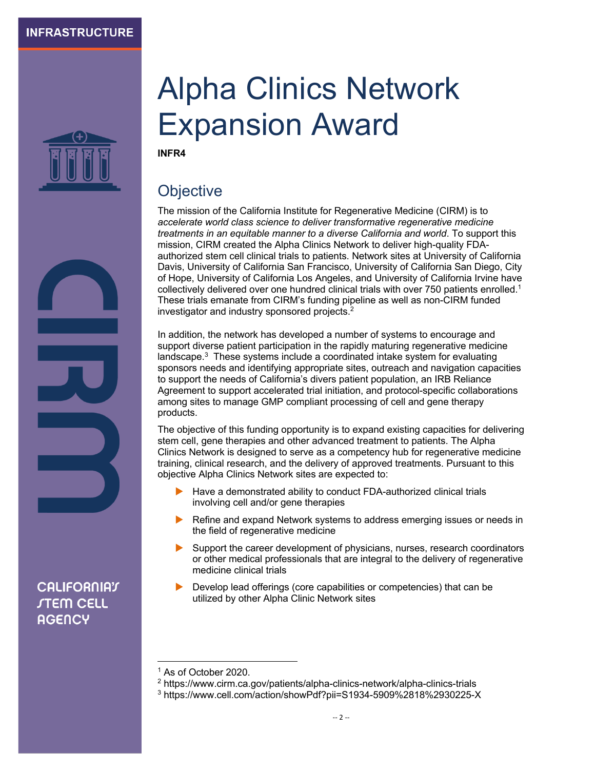

**CALIFORNIAT** *STEM CELL* **AGENCY** 

# Alpha Clinics Network Expansion Award

**INFR4**

# **Objective**

The mission of the California Institute for Regenerative Medicine (CIRM) is to *accelerate world class science to deliver transformative regenerative medicine treatments in an equitable manner to a diverse California and world*. To support this mission, CIRM created the Alpha Clinics Network to deliver high-quality FDAauthorized stem cell clinical trials to patients. Network sites at University of California Davis, University of California San Francisco, University of California San Diego, City of Hope, University of California Los Angeles, and University of California Irvine have collectively delivered over one hundred clinical trials with over 750 patients enrolled.<sup>1</sup> These trials emanate from CIRM's funding pipeline as well as non-CIRM funded investigator and industry sponsored projects.2

In addition, the network has developed a number of systems to encourage and support diverse patient participation in the rapidly maturing regenerative medicine landscape. $3$  These systems include a coordinated intake system for evaluating sponsors needs and identifying appropriate sites, outreach and navigation capacities to support the needs of California's divers patient population, an IRB Reliance Agreement to support accelerated trial initiation, and protocol-specific collaborations among sites to manage GMP compliant processing of cell and gene therapy products.

The objective of this funding opportunity is to expand existing capacities for delivering stem cell, gene therapies and other advanced treatment to patients. The Alpha Clinics Network is designed to serve as a competency hub for regenerative medicine training, clinical research, and the delivery of approved treatments. Pursuant to this objective Alpha Clinics Network sites are expected to:

- Have a demonstrated ability to conduct FDA-authorized clinical trials involving cell and/or gene therapies
- Refine and expand Network systems to address emerging issues or needs in the field of regenerative medicine
- Support the career development of physicians, nurses, research coordinators or other medical professionals that are integral to the delivery of regenerative medicine clinical trials
- Develop lead offerings (core capabilities or competencies) that can be utilized by other Alpha Clinic Network sites

<sup>1</sup> As of October 2020.

<sup>2</sup> https://www.cirm.ca.gov/patients/alpha-clinics-network/alpha-clinics-trials

<sup>3</sup> https://www.cell.com/action/showPdf?pii=S1934-5909%2818%2930225-X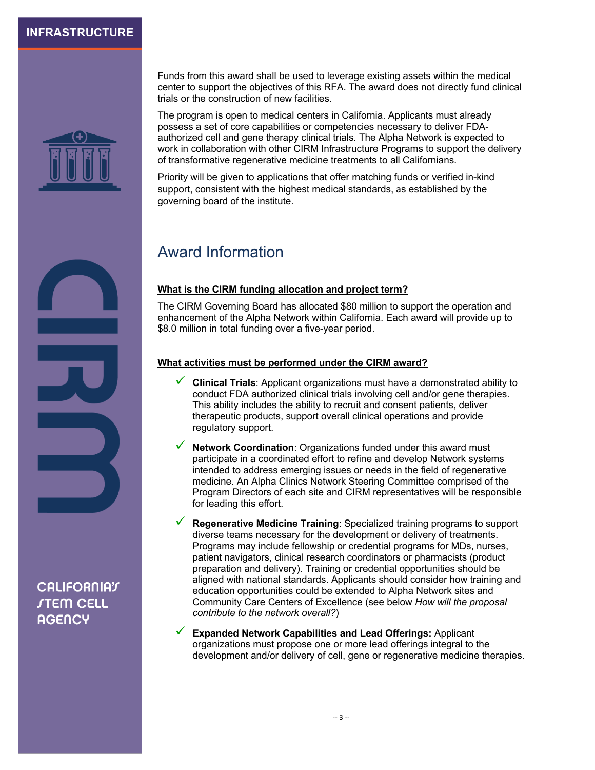

Funds from this award shall be used to leverage existing assets within the medical center to support the objectives of this RFA. The award does not directly fund clinical trials or the construction of new facilities.

The program is open to medical centers in California. Applicants must already possess a set of core capabilities or competencies necessary to deliver FDAauthorized cell and gene therapy clinical trials. The Alpha Network is expected to work in collaboration with other CIRM Infrastructure Programs to support the delivery of transformative regenerative medicine treatments to all Californians.

Priority will be given to applications that offer matching funds or verified in-kind support, consistent with the highest medical standards, as established by the governing board of the institute.

## Award Information

#### **What is the CIRM funding allocation and project term?**

The CIRM Governing Board has allocated \$80 million to support the operation and enhancement of the Alpha Network within California. Each award will provide up to \$8.0 million in total funding over a five-year period.

#### **What activities must be performed under the CIRM award?**

- ü **Clinical Trials**: Applicant organizations must have a demonstrated ability to conduct FDA authorized clinical trials involving cell and/or gene therapies. This ability includes the ability to recruit and consent patients, deliver therapeutic products, support overall clinical operations and provide regulatory support.
- **Network Coordination:** Organizations funded under this award must participate in a coordinated effort to refine and develop Network systems intended to address emerging issues or needs in the field of regenerative medicine. An Alpha Clinics Network Steering Committee comprised of the Program Directors of each site and CIRM representatives will be responsible for leading this effort.
- ü **Regenerative Medicine Training**: Specialized training programs to support diverse teams necessary for the development or delivery of treatments. Programs may include fellowship or credential programs for MDs, nurses, patient navigators, clinical research coordinators or pharmacists (product preparation and delivery). Training or credential opportunities should be aligned with national standards. Applicants should consider how training and education opportunities could be extended to Alpha Network sites and Community Care Centers of Excellence (see below *How will the proposal contribute to the network overall?*)
- ü **Expanded Network Capabilities and Lead Offerings:** Applicant organizations must propose one or more lead offerings integral to the development and/or delivery of cell, gene or regenerative medicine therapies.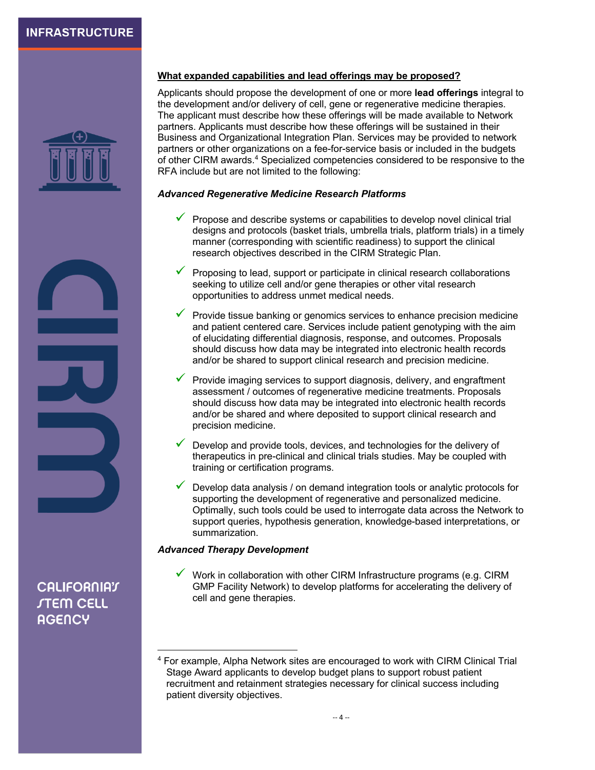

#### **What expanded capabilities and lead offerings may be proposed?**

Applicants should propose the development of one or more **lead offerings** integral to the development and/or delivery of cell, gene or regenerative medicine therapies. The applicant must describe how these offerings will be made available to Network partners. Applicants must describe how these offerings will be sustained in their Business and Organizational Integration Plan. Services may be provided to network partners or other organizations on a fee-for-service basis or included in the budgets of other CIRM awards.4 Specialized competencies considered to be responsive to the RFA include but are not limited to the following:

#### *Advanced Regenerative Medicine Research Platforms*

- $\checkmark$  Propose and describe systems or capabilities to develop novel clinical trial designs and protocols (basket trials, umbrella trials, platform trials) in a timely manner (corresponding with scientific readiness) to support the clinical research objectives described in the CIRM Strategic Plan.
- $\checkmark$  Proposing to lead, support or participate in clinical research collaborations seeking to utilize cell and/or gene therapies or other vital research opportunities to address unmet medical needs.
- $\checkmark$  Provide tissue banking or genomics services to enhance precision medicine and patient centered care. Services include patient genotyping with the aim of elucidating differential diagnosis, response, and outcomes. Proposals should discuss how data may be integrated into electronic health records and/or be shared to support clinical research and precision medicine.
- $\checkmark$  Provide imaging services to support diagnosis, delivery, and engraftment assessment / outcomes of regenerative medicine treatments. Proposals should discuss how data may be integrated into electronic health records and/or be shared and where deposited to support clinical research and precision medicine.
- Develop and provide tools, devices, and technologies for the delivery of therapeutics in pre-clinical and clinical trials studies. May be coupled with training or certification programs.
- Develop data analysis / on demand integration tools or analytic protocols for supporting the development of regenerative and personalized medicine. Optimally, such tools could be used to interrogate data across the Network to support queries, hypothesis generation, knowledge-based interpretations, or summarization.

#### *Advanced Therapy Development*

 $\checkmark$  Work in collaboration with other CIRM Infrastructure programs (e.g. CIRM GMP Facility Network) to develop platforms for accelerating the delivery of cell and gene therapies.

<sup>4</sup> For example, Alpha Network sites are encouraged to work with CIRM Clinical Trial Stage Award applicants to develop budget plans to support robust patient recruitment and retainment strategies necessary for clinical success including patient diversity objectives.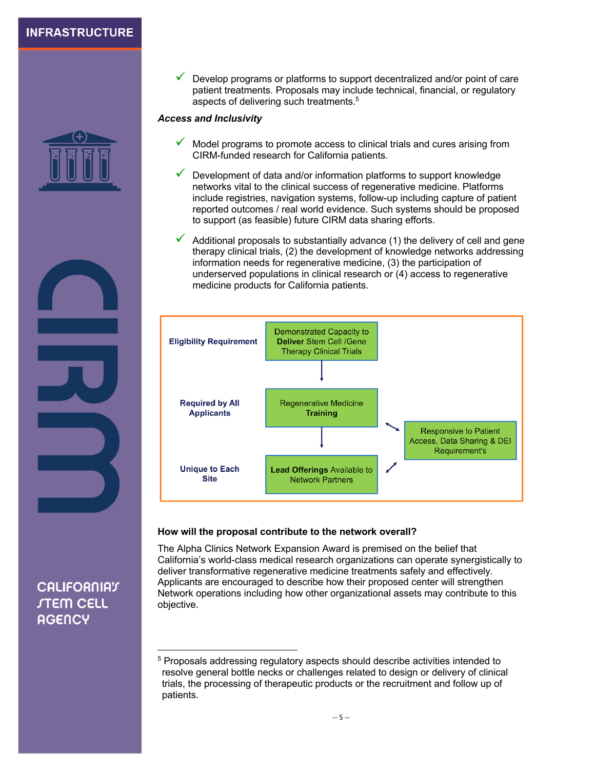

Develop programs or platforms to support decentralized and/or point of care patient treatments. Proposals may include technical, financial, or regulatory aspects of delivering such treatments.<sup>5</sup>

#### *Access and Inclusivity*

- $\checkmark$  Model programs to promote access to clinical trials and cures arising from CIRM-funded research for California patients.
- $\checkmark$  Development of data and/or information platforms to support knowledge networks vital to the clinical success of regenerative medicine. Platforms include registries, navigation systems, follow-up including capture of patient reported outcomes / real world evidence. Such systems should be proposed to support (as feasible) future CIRM data sharing efforts.
- Additional proposals to substantially advance (1) the delivery of cell and gene therapy clinical trials, (2) the development of knowledge networks addressing information needs for regenerative medicine, (3) the participation of underserved populations in clinical research or (4) access to regenerative medicine products for California patients.



#### **How will the proposal contribute to the network overall?**

The Alpha Clinics Network Expansion Award is premised on the belief that California's world-class medical research organizations can operate synergistically to deliver transformative regenerative medicine treatments safely and effectively. Applicants are encouraged to describe how their proposed center will strengthen Network operations including how other organizational assets may contribute to this objective.

<sup>5</sup> Proposals addressing regulatory aspects should describe activities intended to resolve general bottle necks or challenges related to design or delivery of clinical trials, the processing of therapeutic products or the recruitment and follow up of patients.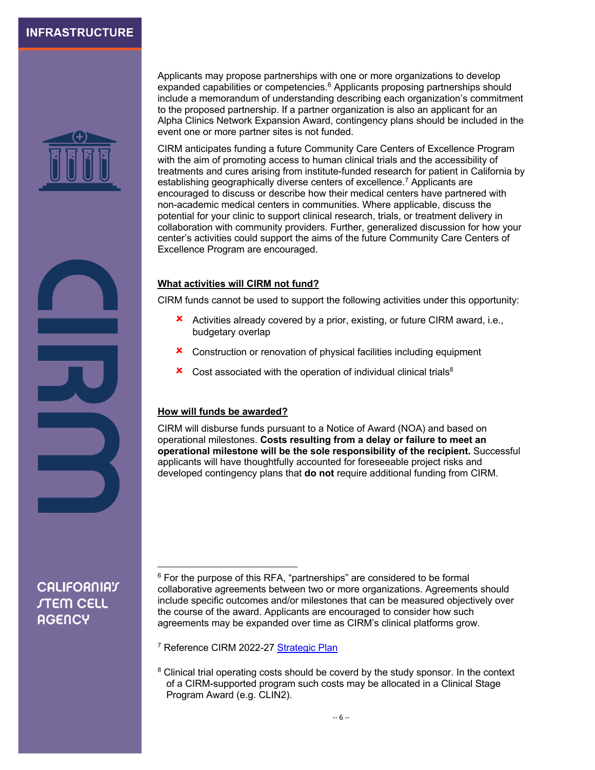

Applicants may propose partnerships with one or more organizations to develop expanded capabilities or competencies.<sup>6</sup> Applicants proposing partnerships should include a memorandum of understanding describing each organization's commitment to the proposed partnership. If a partner organization is also an applicant for an Alpha Clinics Network Expansion Award, contingency plans should be included in the event one or more partner sites is not funded.

CIRM anticipates funding a future Community Care Centers of Excellence Program with the aim of promoting access to human clinical trials and the accessibility of treatments and cures arising from institute-funded research for patient in California by establishing geographically diverse centers of excellence.<sup>7</sup> Applicants are encouraged to discuss or describe how their medical centers have partnered with non-academic medical centers in communities. Where applicable, discuss the potential for your clinic to support clinical research, trials, or treatment delivery in collaboration with community providers. Further, generalized discussion for how your center's activities could support the aims of the future Community Care Centers of Excellence Program are encouraged.

#### **What activities will CIRM not fund?**

CIRM funds cannot be used to support the following activities under this opportunity:

- $\star$  Activities already covered by a prior, existing, or future CIRM award, i.e., budgetary overlap
- **x** Construction or renovation of physical facilities including equipment
- $\boldsymbol{\times}$  Cost associated with the operation of individual clinical trials<sup>8</sup>

#### **How will funds be awarded?**

CIRM will disburse funds pursuant to a Notice of Award (NOA) and based on operational milestones. **Costs resulting from a delay or failure to meet an operational milestone will be the sole responsibility of the recipient.** Successful applicants will have thoughtfully accounted for foreseeable project risks and developed contingency plans that **do not** require additional funding from CIRM.

## **CALIFORNIAT** *STEM CELL* **AGENCY**

<sup>7</sup> Reference CIRM 2022-27 [Strategic Plan](https://www.cirm.ca.gov/sites/default/files/CIRM-Strategic-Plan-2022.pdf)

 $6$  For the purpose of this RFA, "partnerships" are considered to be formal collaborative agreements between two or more organizations. Agreements should include specific outcomes and/or milestones that can be measured objectively over the course of the award. Applicants are encouraged to consider how such agreements may be expanded over time as CIRM's clinical platforms grow.

<sup>&</sup>lt;sup>8</sup> Clinical trial operating costs should be coverd by the study sponsor. In the context of a CIRM-supported program such costs may be allocated in a Clinical Stage Program Award (e.g. CLIN2).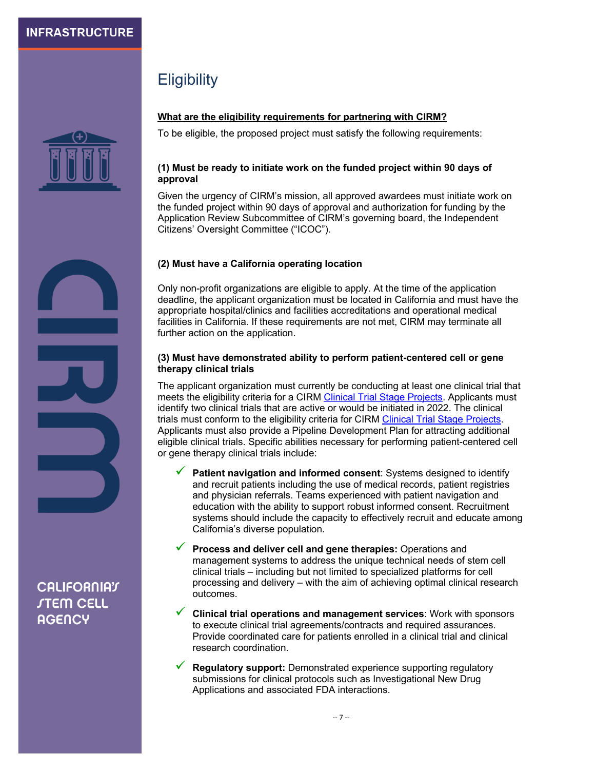

# **Eligibility**

#### **What are the eligibility requirements for partnering with CIRM?**

To be eligible, the proposed project must satisfy the following requirements:

#### **(1) Must be ready to initiate work on the funded project within 90 days of approval**

Given the urgency of CIRM's mission, all approved awardees must initiate work on the funded project within 90 days of approval and authorization for funding by the Application Review Subcommittee of CIRM's governing board, the Independent Citizens' Oversight Committee ("ICOC").

#### **(2) Must have a California operating location**

Only non-profit organizations are eligible to apply. At the time of the application deadline, the applicant organization must be located in California and must have the appropriate hospital/clinics and facilities accreditations and operational medical facilities in California. If these requirements are not met, CIRM may terminate all further action on the application.

#### **(3) Must have demonstrated ability to perform patient-centered cell or gene therapy clinical trials**

The applicant organization must currently be conducting at least one clinical trial that meets the eligibility criteria for a CIRM [Clinical Trial Stage Projects.](https://www.cirm.ca.gov/sites/default/files/files/about_stemcells/CLIN2_PA_070121_2.pdf) Applicants must identify two clinical trials that are active or would be initiated in 2022. The clinical trials must conform to the eligibility criteria for CIRM [Clinical Trial Stage Projects.](https://www.cirm.ca.gov/sites/default/files/files/about_stemcells/CLIN2_PA_070121_2.pdf) Applicants must also provide a Pipeline Development Plan for attracting additional eligible clinical trials. Specific abilities necessary for performing patient-centered cell or gene therapy clinical trials include:

- **Example 2 Patient navigation and informed consent**: Systems designed to identify and recruit patients including the use of medical records, patient registries and physician referrals. Teams experienced with patient navigation and education with the ability to support robust informed consent. Recruitment systems should include the capacity to effectively recruit and educate among California's diverse population.
- **V** Process and deliver cell and gene therapies: Operations and management systems to address the unique technical needs of stem cell clinical trials – including but not limited to specialized platforms for cell processing and delivery – with the aim of achieving optimal clinical research outcomes.
- ü **Clinical trial operations and management services**: Work with sponsors to execute clinical trial agreements/contracts and required assurances. Provide coordinated care for patients enrolled in a clinical trial and clinical research coordination.
- **Regulatory support:** Demonstrated experience supporting regulatory submissions for clinical protocols such as Investigational New Drug Applications and associated FDA interactions.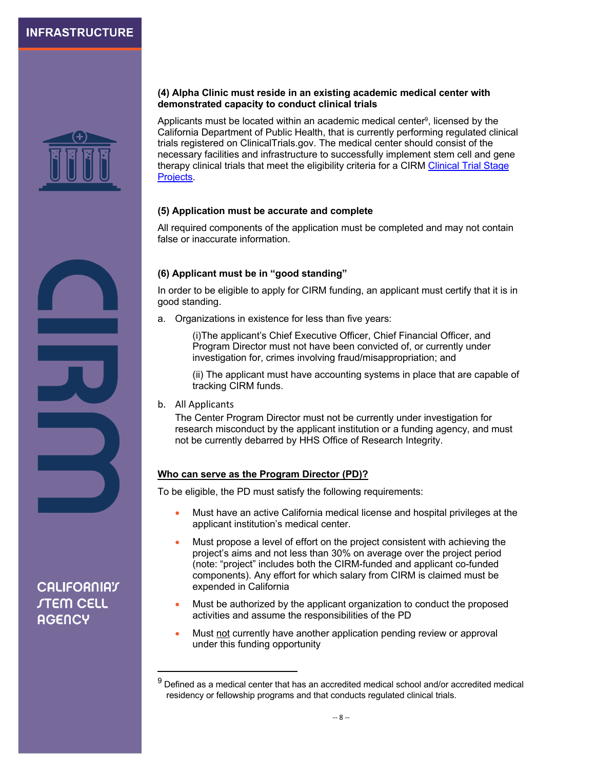

#### **(4) Alpha Clinic must reside in an existing academic medical center with demonstrated capacity to conduct clinical trials**

Applicants must be located within an academic medical center<sup>9</sup>, licensed by the California Department of Public Health, that is currently performing regulated clinical trials registered on ClinicalTrials.gov. The medical center should consist of the necessary facilities and infrastructure to successfully implement stem cell and gene [therapy clinical trials that meet the eligibility criteria for a CIRM Clinical Trial Stage](https://www.cirm.ca.gov/sites/default/files/files/about_stemcells/CLIN2_PA_070121_2.pdf) Projects.

#### **(5) Application must be accurate and complete**

All required components of the application must be completed and may not contain false or inaccurate information.

#### **(6) Applicant must be in "good standing"**

In order to be eligible to apply for CIRM funding, an applicant must certify that it is in good standing.

a. Organizations in existence for less than five years:

(i)The applicant's Chief Executive Officer, Chief Financial Officer, and Program Director must not have been convicted of, or currently under investigation for, crimes involving fraud/misappropriation; and

(ii) The applicant must have accounting systems in place that are capable of tracking CIRM funds.

b. All Applicants

The Center Program Director must not be currently under investigation for research misconduct by the applicant institution or a funding agency, and must not be currently debarred by HHS Office of Research Integrity.

#### **Who can serve as the Program Director (PD)?**

To be eligible, the PD must satisfy the following requirements:

- Must have an active California medical license and hospital privileges at the applicant institution's medical center.
- Must propose a level of effort on the project consistent with achieving the project's aims and not less than 30% on average over the project period (note: "project" includes both the CIRM-funded and applicant co-funded components). Any effort for which salary from CIRM is claimed must be expended in California
- Must be authorized by the applicant organization to conduct the proposed activities and assume the responsibilities of the PD
- Must not currently have another application pending review or approval under this funding opportunity

 $9$  Defined as a medical center that has an accredited medical school and/or accredited medical residency or fellowship programs and that conducts regulated clinical trials.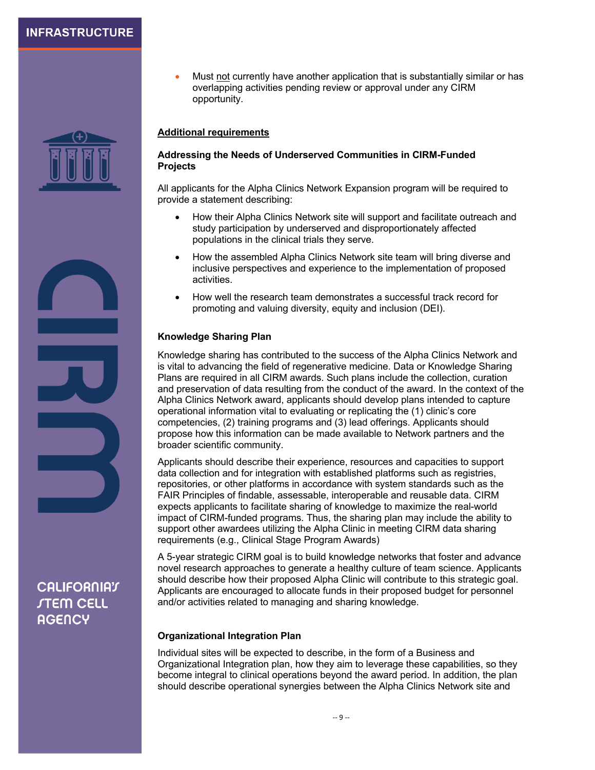

**CALIFORNIAT** *STEM CELL* **AGENCY** 

• Must not currently have another application that is substantially similar or has overlapping activities pending review or approval under any CIRM opportunity.

#### **Additional requirements**

#### **Addressing the Needs of Underserved Communities in CIRM-Funded Projects**

All applicants for the Alpha Clinics Network Expansion program will be required to provide a statement describing:

- How their Alpha Clinics Network site will support and facilitate outreach and study participation by underserved and disproportionately affected populations in the clinical trials they serve.
- How the assembled Alpha Clinics Network site team will bring diverse and inclusive perspectives and experience to the implementation of proposed activities.
- How well the research team demonstrates a successful track record for promoting and valuing diversity, equity and inclusion (DEI).

#### **Knowledge Sharing Plan**

Knowledge sharing has contributed to the success of the Alpha Clinics Network and is vital to advancing the field of regenerative medicine. Data or Knowledge Sharing Plans are required in all CIRM awards. Such plans include the collection, curation and preservation of data resulting from the conduct of the award. In the context of the Alpha Clinics Network award, applicants should develop plans intended to capture operational information vital to evaluating or replicating the (1) clinic's core competencies, (2) training programs and (3) lead offerings. Applicants should propose how this information can be made available to Network partners and the broader scientific community.

Applicants should describe their experience, resources and capacities to support data collection and for integration with established platforms such as registries, repositories, or other platforms in accordance with system standards such as the FAIR Principles of findable, assessable, interoperable and reusable data. CIRM expects applicants to facilitate sharing of knowledge to maximize the real-world impact of CIRM-funded programs. Thus, the sharing plan may include the ability to support other awardees utilizing the Alpha Clinic in meeting CIRM data sharing requirements (e.g., Clinical Stage Program Awards)

A 5-year strategic CIRM goal is to build knowledge networks that foster and advance novel research approaches to generate a healthy culture of team science. Applicants should describe how their proposed Alpha Clinic will contribute to this strategic goal. Applicants are encouraged to allocate funds in their proposed budget for personnel and/or activities related to managing and sharing knowledge.

#### **Organizational Integration Plan**

Individual sites will be expected to describe, in the form of a Business and Organizational Integration plan, how they aim to leverage these capabilities, so they become integral to clinical operations beyond the award period. In addition, the plan should describe operational synergies between the Alpha Clinics Network site and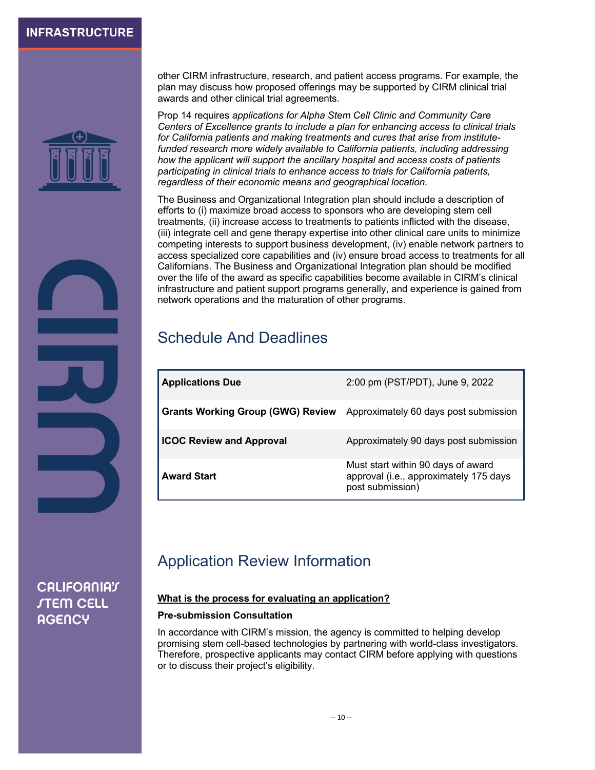

other CIRM infrastructure, research, and patient access programs. For example, the plan may discuss how proposed offerings may be supported by CIRM clinical trial awards and other clinical trial agreements.

Prop 14 requires *applications for Alpha Stem Cell Clinic and Community Care Centers of Excellence grants to include a plan for enhancing access to clinical trials for California patients and making treatments and cures that arise from institutefunded research more widely available to California patients, including addressing how the applicant will support the ancillary hospital and access costs of patients participating in clinical trials to enhance access to trials for California patients, regardless of their economic means and geographical location.* 

The Business and Organizational Integration plan should include a description of efforts to (i) maximize broad access to sponsors who are developing stem cell treatments, (ii) increase access to treatments to patients inflicted with the disease, (iii) integrate cell and gene therapy expertise into other clinical care units to minimize competing interests to support business development, (iv) enable network partners to access specialized core capabilities and (iv) ensure broad access to treatments for all Californians. The Business and Organizational Integration plan should be modified over the life of the award as specific capabilities become available in CIRM's clinical infrastructure and patient support programs generally, and experience is gained from network operations and the maturation of other programs.

# Schedule And Deadlines

| <b>Applications Due</b>                  | 2:00 pm (PST/PDT), June 9, 2022                                                                  |
|------------------------------------------|--------------------------------------------------------------------------------------------------|
| <b>Grants Working Group (GWG) Review</b> | Approximately 60 days post submission                                                            |
| <b>ICOC Review and Approval</b>          | Approximately 90 days post submission                                                            |
| <b>Award Start</b>                       | Must start within 90 days of award<br>approval (i.e., approximately 175 days<br>post submission) |

# Application Review Information

#### **What is the process for evaluating an application?**

#### **Pre-submission Consultation**

In accordance with CIRM's mission, the agency is committed to helping develop promising stem cell-based technologies by partnering with world-class investigators. Therefore, prospective applicants may contact CIRM before applying with questions or to discuss their project's eligibility.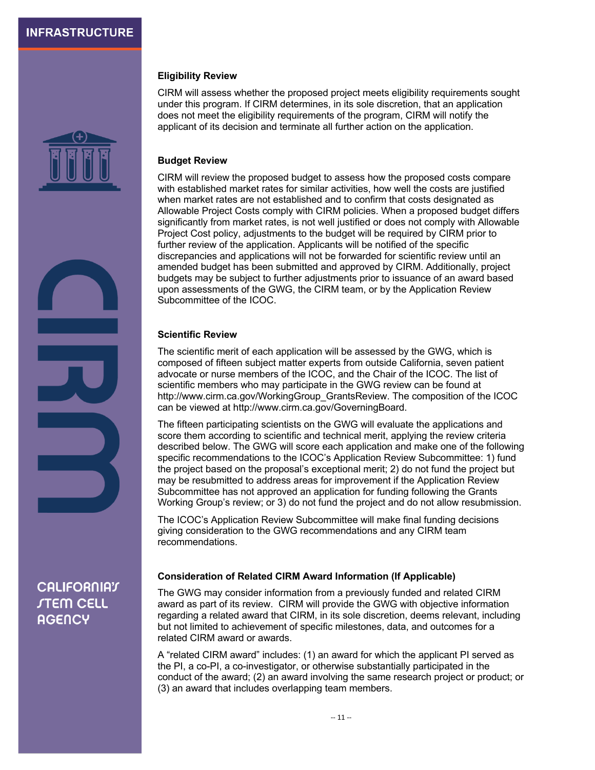

#### **Eligibility Review**

CIRM will assess whether the proposed project meets eligibility requirements sought under this program. If CIRM determines, in its sole discretion, that an application does not meet the eligibility requirements of the program, CIRM will notify the applicant of its decision and terminate all further action on the application.

#### **Budget Review**

CIRM will review the proposed budget to assess how the proposed costs compare with established market rates for similar activities, how well the costs are justified when market rates are not established and to confirm that costs designated as Allowable Project Costs comply with CIRM policies. When a proposed budget differs significantly from market rates, is not well justified or does not comply with Allowable Project Cost policy, adjustments to the budget will be required by CIRM prior to further review of the application. Applicants will be notified of the specific discrepancies and applications will not be forwarded for scientific review until an amended budget has been submitted and approved by CIRM. Additionally, project budgets may be subject to further adjustments prior to issuance of an award based upon assessments of the GWG, the CIRM team, or by the Application Review Subcommittee of the ICOC.

#### **Scientific Review**

The scientific merit of each application will be assessed by the GWG, which is composed of fifteen subject matter experts from outside California, seven patient advocate or nurse members of the ICOC, and the Chair of the ICOC. The list of scientific members who may participate in the GWG review can be found at http://www.cirm.ca.gov/WorkingGroup\_GrantsReview. The composition of the ICOC can be viewed at http://www.cirm.ca.gov/GoverningBoard.

The fifteen participating scientists on the GWG will evaluate the applications and score them according to scientific and technical merit, applying the review criteria described below. The GWG will score each application and make one of the following specific recommendations to the ICOC's Application Review Subcommittee: 1) fund the project based on the proposal's exceptional merit; 2) do not fund the project but may be resubmitted to address areas for improvement if the Application Review Subcommittee has not approved an application for funding following the Grants Working Group's review; or 3) do not fund the project and do not allow resubmission.

The ICOC's Application Review Subcommittee will make final funding decisions giving consideration to the GWG recommendations and any CIRM team recommendations.

#### **Consideration of Related CIRM Award Information (If Applicable)**

The GWG may consider information from a previously funded and related CIRM award as part of its review. CIRM will provide the GWG with objective information regarding a related award that CIRM, in its sole discretion, deems relevant, including but not limited to achievement of specific milestones, data, and outcomes for a related CIRM award or awards.

A "related CIRM award" includes: (1) an award for which the applicant PI served as the PI, a co-PI, a co-investigator, or otherwise substantially participated in the conduct of the award; (2) an award involving the same research project or product; or (3) an award that includes overlapping team members.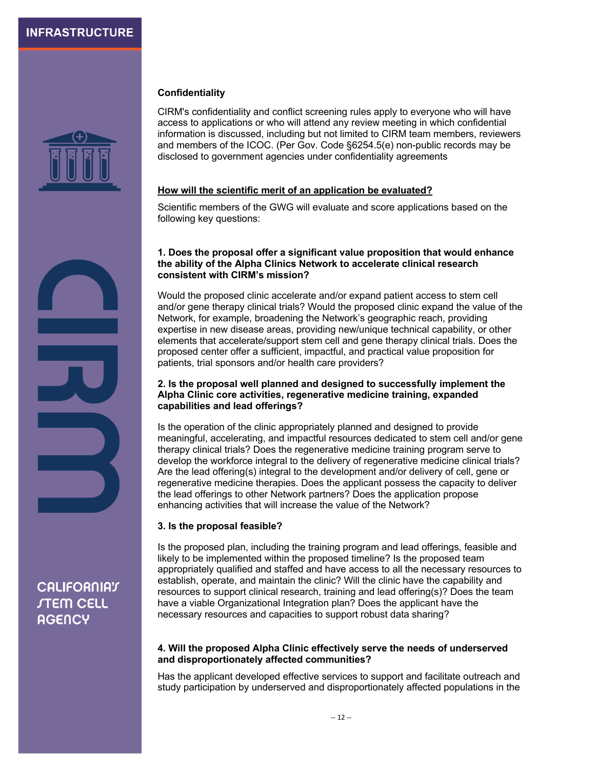

#### **Confidentiality**

CIRM's confidentiality and conflict screening rules apply to everyone who will have access to applications or who will attend any review meeting in which confidential information is discussed, including but not limited to CIRM team members, reviewers and members of the ICOC. (Per Gov. Code §6254.5(e) non-public records may be disclosed to government agencies under confidentiality agreements

#### **How will the scientific merit of an application be evaluated?**

Scientific members of the GWG will evaluate and score applications based on the following key questions:

#### **1. Does the proposal offer a significant value proposition that would enhance the ability of the Alpha Clinics Network to accelerate clinical research consistent with CIRM's mission?**

Would the proposed clinic accelerate and/or expand patient access to stem cell and/or gene therapy clinical trials? Would the proposed clinic expand the value of the Network, for example, broadening the Network's geographic reach, providing expertise in new disease areas, providing new/unique technical capability, or other elements that accelerate/support stem cell and gene therapy clinical trials. Does the proposed center offer a sufficient, impactful, and practical value proposition for patients, trial sponsors and/or health care providers?

#### **2. Is the proposal well planned and designed to successfully implement the Alpha Clinic core activities, regenerative medicine training, expanded capabilities and lead offerings?**

Is the operation of the clinic appropriately planned and designed to provide meaningful, accelerating, and impactful resources dedicated to stem cell and/or gene therapy clinical trials? Does the regenerative medicine training program serve to develop the workforce integral to the delivery of regenerative medicine clinical trials? Are the lead offering(s) integral to the development and/or delivery of cell, gene or regenerative medicine therapies. Does the applicant possess the capacity to deliver the lead offerings to other Network partners? Does the application propose enhancing activities that will increase the value of the Network?

#### **3. Is the proposal feasible?**

Is the proposed plan, including the training program and lead offerings, feasible and likely to be implemented within the proposed timeline? Is the proposed team appropriately qualified and staffed and have access to all the necessary resources to establish, operate, and maintain the clinic? Will the clinic have the capability and resources to support clinical research, training and lead offering(s)? Does the team have a viable Organizational Integration plan? Does the applicant have the necessary resources and capacities to support robust data sharing?

#### **4. Will the proposed Alpha Clinic effectively serve the needs of underserved and disproportionately affected communities?**

Has the applicant developed effective services to support and facilitate outreach and study participation by underserved and disproportionately affected populations in the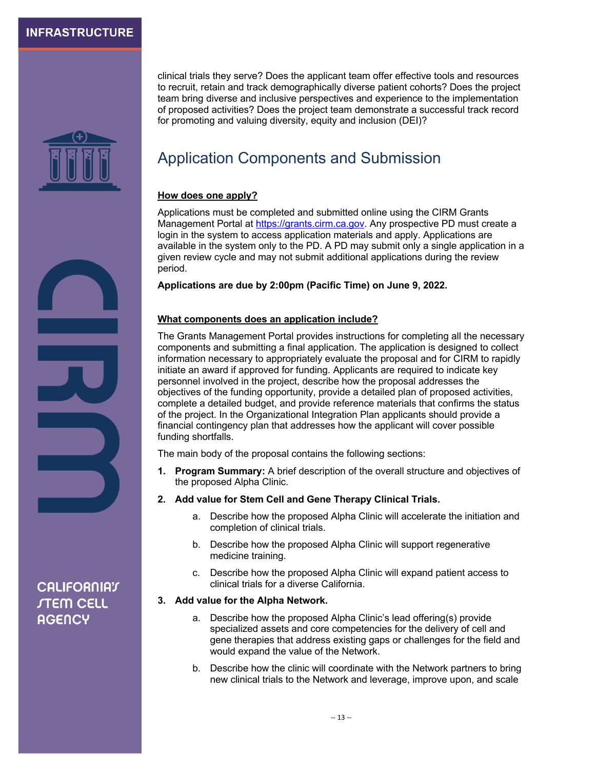

clinical trials they serve? Does the applicant team offer effective tools and resources to recruit, retain and track demographically diverse patient cohorts? Does the project team bring diverse and inclusive perspectives and experience to the implementation of proposed activities? Does the project team demonstrate a successful track record for promoting and valuing diversity, equity and inclusion (DEI)?

# Application Components and Submission

#### **How does one apply?**

Applications must be completed and submitted online using the CIRM Grants Management Portal at https://grants.cirm.ca.gov. Any prospective PD must create a login in the system to access application materials and apply. Applications are available in the system only to the PD. A PD may submit only a single application in a given review cycle and may not submit additional applications during the review period.

**Applications are due by 2:00pm (Pacific Time) on June 9, 2022.**

#### **What components does an application include?**

The Grants Management Portal provides instructions for completing all the necessary components and submitting a final application. The application is designed to collect information necessary to appropriately evaluate the proposal and for CIRM to rapidly initiate an award if approved for funding. Applicants are required to indicate key personnel involved in the project, describe how the proposal addresses the objectives of the funding opportunity, provide a detailed plan of proposed activities, complete a detailed budget, and provide reference materials that confirms the status of the project. In the Organizational Integration Plan applicants should provide a financial contingency plan that addresses how the applicant will cover possible funding shortfalls.

The main body of the proposal contains the following sections:

- **1. Program Summary:** A brief description of the overall structure and objectives of the proposed Alpha Clinic.
- **2. Add value for Stem Cell and Gene Therapy Clinical Trials.**
	- a. Describe how the proposed Alpha Clinic will accelerate the initiation and completion of clinical trials.
	- b. Describe how the proposed Alpha Clinic will support regenerative medicine training.
	- c. Describe how the proposed Alpha Clinic will expand patient access to clinical trials for a diverse California.

#### **3. Add value for the Alpha Network.**

- a. Describe how the proposed Alpha Clinic's lead offering(s) provide specialized assets and core competencies for the delivery of cell and gene therapies that address existing gaps or challenges for the field and would expand the value of the Network.
- b. Describe how the clinic will coordinate with the Network partners to bring new clinical trials to the Network and leverage, improve upon, and scale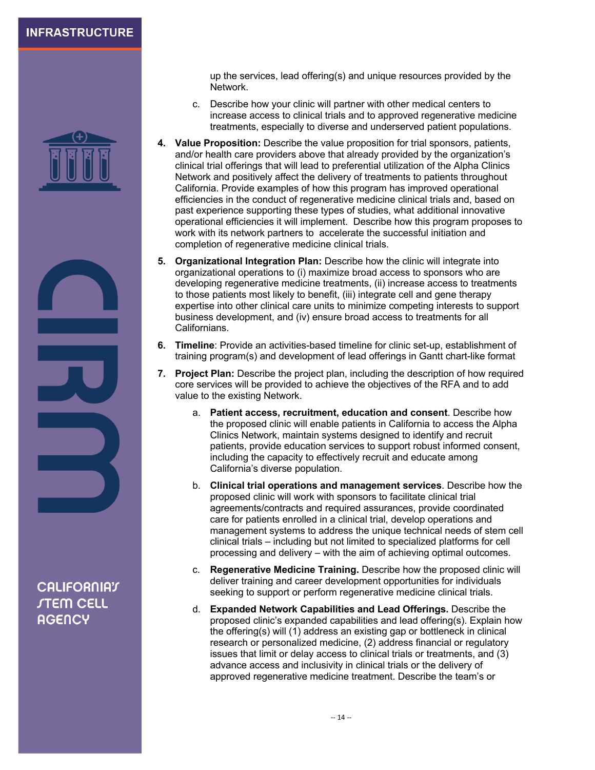

**CALIFORNIAT** *STEM CELL* **AGENCY** 

up the services, lead offering(s) and unique resources provided by the Network.

- c. Describe how your clinic will partner with other medical centers to increase access to clinical trials and to approved regenerative medicine treatments, especially to diverse and underserved patient populations.
- **4. Value Proposition:** Describe the value proposition for trial sponsors, patients, and/or health care providers above that already provided by the organization's clinical trial offerings that will lead to preferential utilization of the Alpha Clinics Network and positively affect the delivery of treatments to patients throughout California. Provide examples of how this program has improved operational efficiencies in the conduct of regenerative medicine clinical trials and, based on past experience supporting these types of studies, what additional innovative operational efficiencies it will implement. Describe how this program proposes to work with its network partners to accelerate the successful initiation and completion of regenerative medicine clinical trials.
- **5. Organizational Integration Plan:** Describe how the clinic will integrate into organizational operations to (i) maximize broad access to sponsors who are developing regenerative medicine treatments, (ii) increase access to treatments to those patients most likely to benefit, (iii) integrate cell and gene therapy expertise into other clinical care units to minimize competing interests to support business development, and (iv) ensure broad access to treatments for all Californians.
- **6. Timeline**: Provide an activities-based timeline for clinic set-up, establishment of training program(s) and development of lead offerings in Gantt chart-like format
- **7. Project Plan:** Describe the project plan, including the description of how required core services will be provided to achieve the objectives of the RFA and to add value to the existing Network.
	- a. **Patient access, recruitment, education and consent**. Describe how the proposed clinic will enable patients in California to access the Alpha Clinics Network, maintain systems designed to identify and recruit patients, provide education services to support robust informed consent, including the capacity to effectively recruit and educate among California's diverse population.
	- b. **Clinical trial operations and management services**. Describe how the proposed clinic will work with sponsors to facilitate clinical trial agreements/contracts and required assurances, provide coordinated care for patients enrolled in a clinical trial, develop operations and management systems to address the unique technical needs of stem cell clinical trials – including but not limited to specialized platforms for cell processing and delivery – with the aim of achieving optimal outcomes.
	- c. **Regenerative Medicine Training.** Describe how the proposed clinic will deliver training and career development opportunities for individuals seeking to support or perform regenerative medicine clinical trials.
	- d. **Expanded Network Capabilities and Lead Offerings.** Describe the proposed clinic's expanded capabilities and lead offering(s). Explain how the offering(s) will (1) address an existing gap or bottleneck in clinical research or personalized medicine, (2) address financial or regulatory issues that limit or delay access to clinical trials or treatments, and (3) advance access and inclusivity in clinical trials or the delivery of approved regenerative medicine treatment. Describe the team's or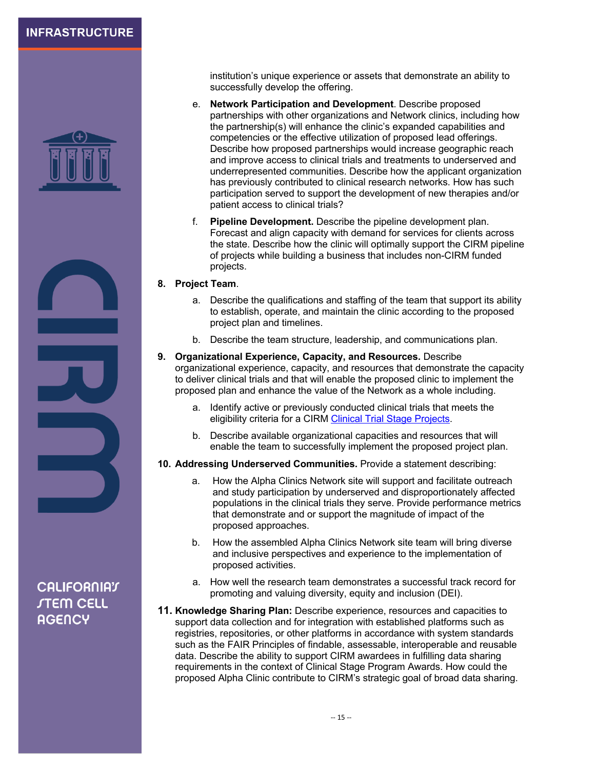

**CALIFORNIAT** *STEM CELL* **AGENCY** 

institution's unique experience or assets that demonstrate an ability to successfully develop the offering.

- e. **Network Participation and Development**. Describe proposed partnerships with other organizations and Network clinics, including how the partnership(s) will enhance the clinic's expanded capabilities and competencies or the effective utilization of proposed lead offerings. Describe how proposed partnerships would increase geographic reach and improve access to clinical trials and treatments to underserved and underrepresented communities. Describe how the applicant organization has previously contributed to clinical research networks. How has such participation served to support the development of new therapies and/or patient access to clinical trials?
- f. **Pipeline Development.** Describe the pipeline development plan. Forecast and align capacity with demand for services for clients across the state. Describe how the clinic will optimally support the CIRM pipeline of projects while building a business that includes non-CIRM funded projects.

#### **8. Project Team**.

- a. Describe the qualifications and staffing of the team that support its ability to establish, operate, and maintain the clinic according to the proposed project plan and timelines.
- b. Describe the team structure, leadership, and communications plan.
- **9. Organizational Experience, Capacity, and Resources.** Describe organizational experience, capacity, and resources that demonstrate the capacity to deliver clinical trials and that will enable the proposed clinic to implement the proposed plan and enhance the value of the Network as a whole including.
	- a. Identify active or previously conducted clinical trials that meets the eligibility criteria for a CIRM [Clinical Trial Stage Projects.](https://www.cirm.ca.gov/sites/default/files/files/about_stemcells/CLIN2_PA_070121_2.pdf)
	- b. Describe available organizational capacities and resources that will enable the team to successfully implement the proposed project plan.
- **10. Addressing Underserved Communities.** Provide a statement describing:
	- a. How the Alpha Clinics Network site will support and facilitate outreach and study participation by underserved and disproportionately affected populations in the clinical trials they serve. Provide performance metrics that demonstrate and or support the magnitude of impact of the proposed approaches.
	- b. How the assembled Alpha Clinics Network site team will bring diverse and inclusive perspectives and experience to the implementation of proposed activities.
	- a. How well the research team demonstrates a successful track record for promoting and valuing diversity, equity and inclusion (DEI).
- **11. Knowledge Sharing Plan:** Describe experience, resources and capacities to support data collection and for integration with established platforms such as registries, repositories, or other platforms in accordance with system standards such as the FAIR Principles of findable, assessable, interoperable and reusable data. Describe the ability to support CIRM awardees in fulfilling data sharing requirements in the context of Clinical Stage Program Awards. How could the proposed Alpha Clinic contribute to CIRM's strategic goal of broad data sharing.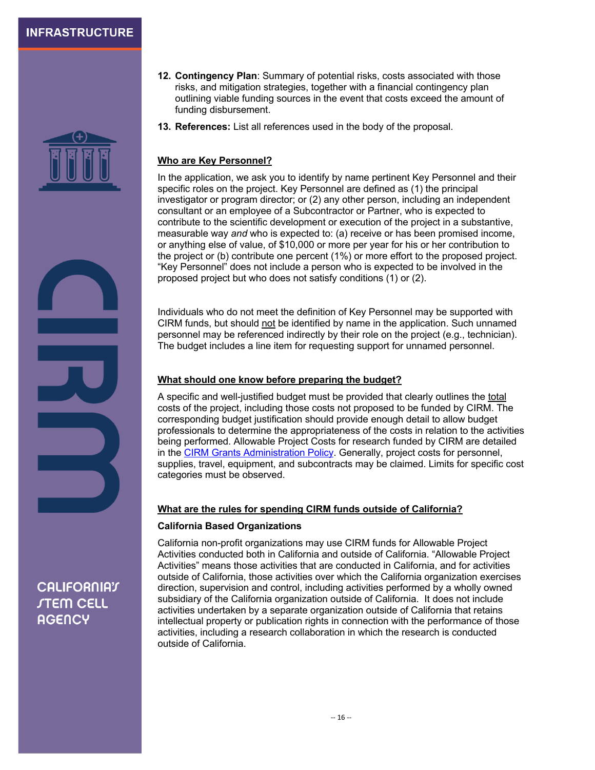

- **12. Contingency Plan**: Summary of potential risks, costs associated with those risks, and mitigation strategies, together with a financial contingency plan outlining viable funding sources in the event that costs exceed the amount of funding disbursement.
- **13. References:** List all references used in the body of the proposal.

#### **Who are Key Personnel?**

In the application, we ask you to identify by name pertinent Key Personnel and their specific roles on the project. Key Personnel are defined as (1) the principal investigator or program director; or (2) any other person, including an independent consultant or an employee of a Subcontractor or Partner, who is expected to contribute to the scientific development or execution of the project in a substantive, measurable way *and* who is expected to: (a) receive or has been promised income, or anything else of value, of \$10,000 or more per year for his or her contribution to the project or (b) contribute one percent (1%) or more effort to the proposed project. "Key Personnel" does not include a person who is expected to be involved in the proposed project but who does not satisfy conditions (1) or (2).

Individuals who do not meet the definition of Key Personnel may be supported with CIRM funds, but should not be identified by name in the application. Such unnamed personnel may be referenced indirectly by their role on the project (e.g., technician). The budget includes a line item for requesting support for unnamed personnel.

#### **What should one know before preparing the budget?**

A specific and well-justified budget must be provided that clearly outlines the total costs of the project, including those costs not proposed to be funded by CIRM. The corresponding budget justification should provide enough detail to allow budget professionals to determine the appropriateness of the costs in relation to the activities being performed. Allowable Project Costs for research funded by CIRM are detailed in the **CIRM Grants Administration Policy**. Generally, project costs for personnel, supplies, travel, equipment, and subcontracts may be claimed. Limits for specific cost categories must be observed.

#### **What are the rules for spending CIRM funds outside of California?**

#### **California Based Organizations**

California non-profit organizations may use CIRM funds for Allowable Project Activities conducted both in California and outside of California. "Allowable Project Activities" means those activities that are conducted in California, and for activities outside of California, those activities over which the California organization exercises direction, supervision and control, including activities performed by a wholly owned subsidiary of the California organization outside of California. It does not include activities undertaken by a separate organization outside of California that retains intellectual property or publication rights in connection with the performance of those activities, including a research collaboration in which the research is conducted outside of California.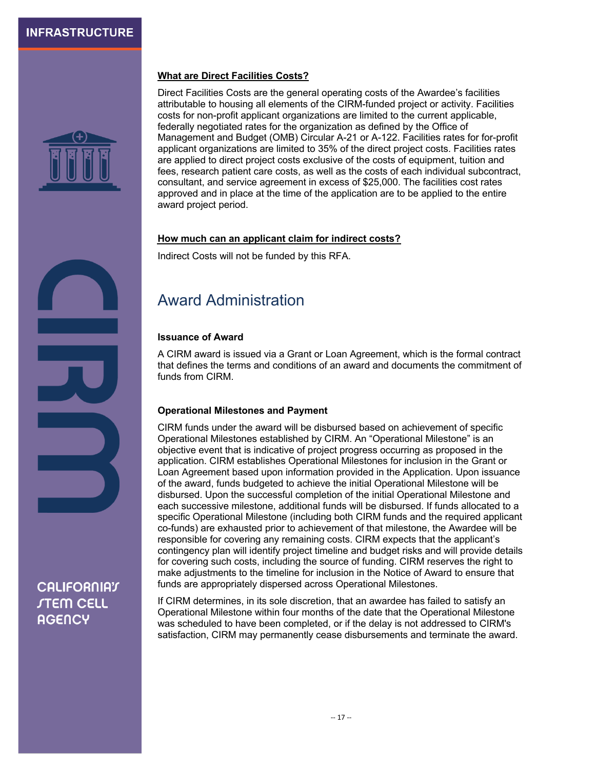

#### **What are Direct Facilities Costs?**

Direct Facilities Costs are the general operating costs of the Awardee's facilities attributable to housing all elements of the CIRM-funded project or activity. Facilities costs for non-profit applicant organizations are limited to the current applicable, federally negotiated rates for the organization as defined by the Office of Management and Budget (OMB) Circular A-21 or A-122. Facilities rates for for-profit applicant organizations are limited to 35% of the direct project costs. Facilities rates are applied to direct project costs exclusive of the costs of equipment, tuition and fees, research patient care costs, as well as the costs of each individual subcontract, consultant, and service agreement in excess of \$25,000. The facilities cost rates approved and in place at the time of the application are to be applied to the entire award project period.

#### **How much can an applicant claim for indirect costs?**

Indirect Costs will not be funded by this RFA.

# Award Administration

#### **Issuance of Award**

A CIRM award is issued via a Grant or Loan Agreement, which is the formal contract that defines the terms and conditions of an award and documents the commitment of funds from CIRM.

#### **Operational Milestones and Payment**

CIRM funds under the award will be disbursed based on achievement of specific Operational Milestones established by CIRM. An "Operational Milestone" is an objective event that is indicative of project progress occurring as proposed in the application. CIRM establishes Operational Milestones for inclusion in the Grant or Loan Agreement based upon information provided in the Application. Upon issuance of the award, funds budgeted to achieve the initial Operational Milestone will be disbursed. Upon the successful completion of the initial Operational Milestone and each successive milestone, additional funds will be disbursed. If funds allocated to a specific Operational Milestone (including both CIRM funds and the required applicant co-funds) are exhausted prior to achievement of that milestone, the Awardee will be responsible for covering any remaining costs. CIRM expects that the applicant's contingency plan will identify project timeline and budget risks and will provide details for covering such costs, including the source of funding. CIRM reserves the right to make adjustments to the timeline for inclusion in the Notice of Award to ensure that funds are appropriately dispersed across Operational Milestones.

If CIRM determines, in its sole discretion, that an awardee has failed to satisfy an Operational Milestone within four months of the date that the Operational Milestone was scheduled to have been completed, or if the delay is not addressed to CIRM's satisfaction, CIRM may permanently cease disbursements and terminate the award.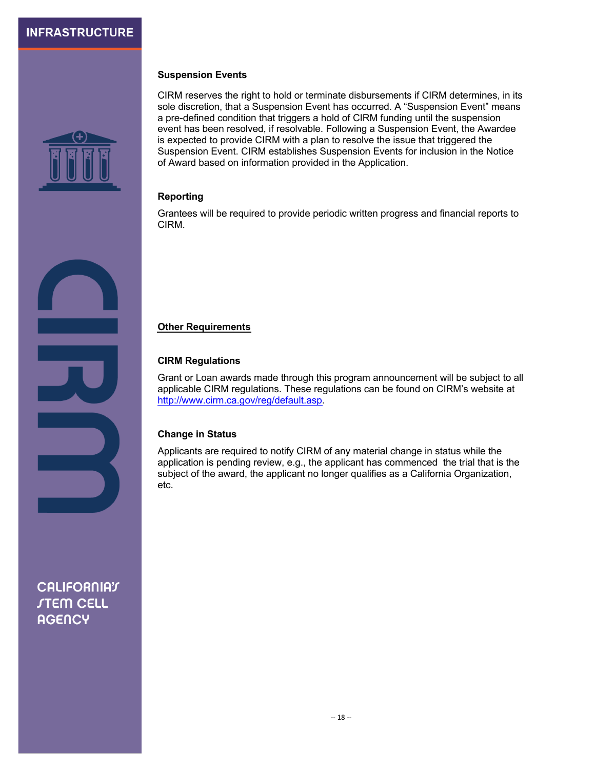

#### **Suspension Events**

CIRM reserves the right to hold or terminate disbursements if CIRM determines, in its sole discretion, that a Suspension Event has occurred. A "Suspension Event" means a pre-defined condition that triggers a hold of CIRM funding until the suspension event has been resolved, if resolvable. Following a Suspension Event, the Awardee is expected to provide CIRM with a plan to resolve the issue that triggered the Suspension Event. CIRM establishes Suspension Events for inclusion in the Notice of Award based on information provided in the Application.

#### **Reporting**

Grantees will be required to provide periodic written progress and financial reports to CIRM.

#### **Other Requirements**

#### **CIRM Regulations**

Grant or Loan awards made through this program announcement will be subject to all applicable CIRM regulations. These regulations can be found on CIRM's website at http://www.cirm.ca.gov/reg/default.asp.

#### **Change in Status**

Applicants are required to notify CIRM of any material change in status while the application is pending review, e.g., the applicant has commenced the trial that is the subject of the award, the applicant no longer qualifies as a California Organization, etc.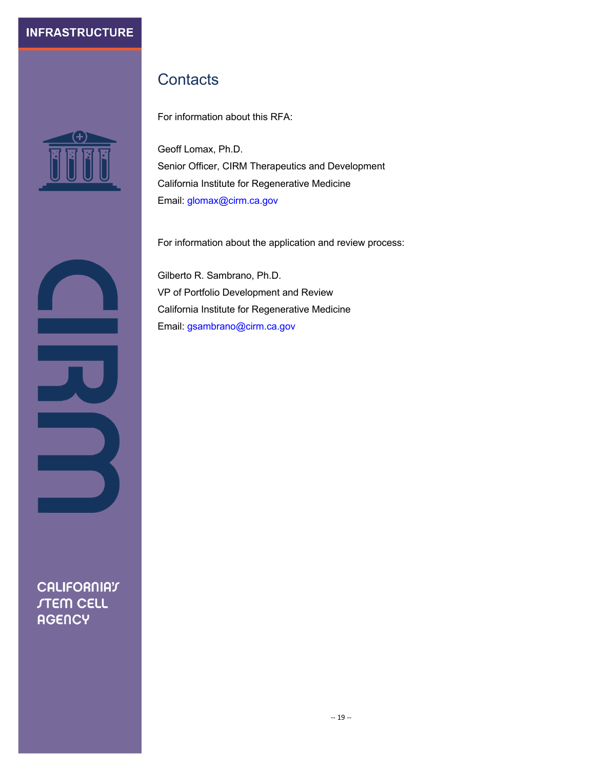

# **Contacts**

For information about this RFA:

Geoff Lomax, Ph.D. Senior Officer, CIRM Therapeutics and Development California Institute for Regenerative Medicine Email: glomax@cirm.ca.gov

For information about the application and review process:

Gilberto R. Sambrano, Ph.D. VP of Portfolio Development and Review California Institute for Regenerative Medicine Email: gsambrano@cirm.ca.gov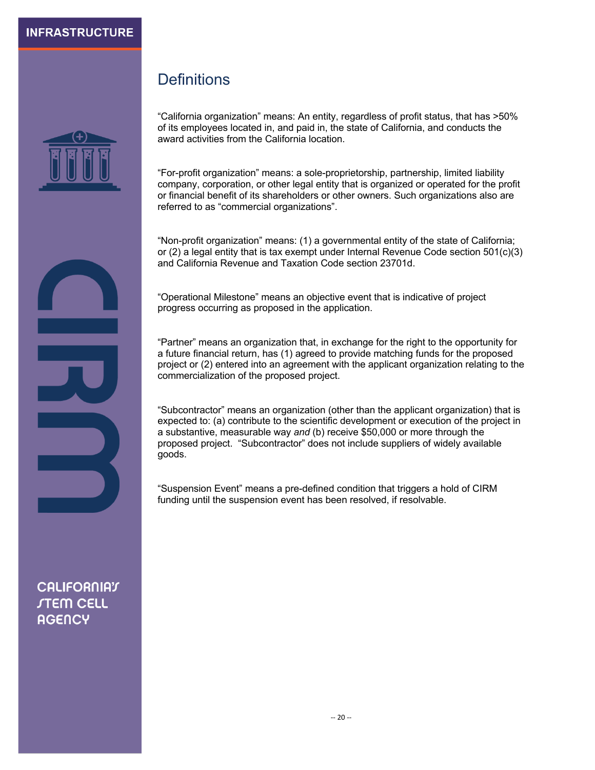

**Definitions** 

"California organization" means: An entity, regardless of profit status, that has >50% of its employees located in, and paid in, the state of California, and conducts the award activities from the California location.

"For-profit organization" means: a sole-proprietorship, partnership, limited liability company, corporation, or other legal entity that is organized or operated for the profit or financial benefit of its shareholders or other owners. Such organizations also are referred to as "commercial organizations".

"Non-profit organization" means: (1) a governmental entity of the state of California; or  $(2)$  a legal entity that is tax exempt under Internal Revenue Code section 501 $(c)(3)$ and California Revenue and Taxation Code section 23701d.

"Operational Milestone" means an objective event that is indicative of project progress occurring as proposed in the application.

"Partner" means an organization that, in exchange for the right to the opportunity for a future financial return, has (1) agreed to provide matching funds for the proposed project or (2) entered into an agreement with the applicant organization relating to the commercialization of the proposed project.

"Subcontractor" means an organization (other than the applicant organization) that is expected to: (a) contribute to the scientific development or execution of the project in a substantive, measurable way *and* (b) receive \$50,000 or more through the proposed project. "Subcontractor" does not include suppliers of widely available goods.

"Suspension Event" means a pre-defined condition that triggers a hold of CIRM funding until the suspension event has been resolved, if resolvable.